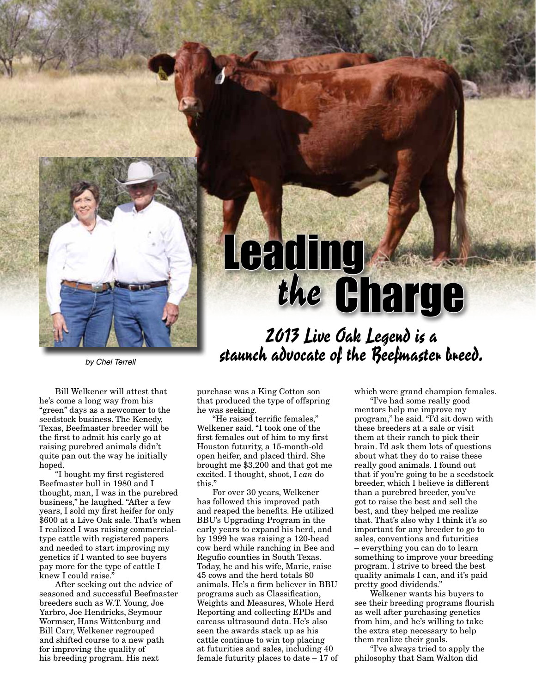

Bill Welkener will attest that he's come a long way from his "green" days as a newcomer to the seedstock business. The Kenedy, Texas, Beefmaster breeder will be the first to admit his early go at raising purebred animals didn't quite pan out the way he initially hoped.

"I bought my first registered Beefmaster bull in 1980 and I thought, man, I was in the purebred business," he laughed. "After a few years, I sold my first heifer for only \$600 at a Live Oak sale. That's when I realized I was raising commercialtype cattle with registered papers and needed to start improving my genetics if I wanted to see buyers pay more for the type of cattle I knew I could raise.'

After seeking out the advice of seasoned and successful Beefmaster breeders such as W.T. Young, Joe Yarbro, Joe Hendricks, Seymour Wormser, Hans Wittenburg and Bill Carr, Welkener regrouped and shifted course to a new path for improving the quality of his breeding program. His next

## purchase was a King Cotton son that produced the type of offspring he was seeking.

"He raised terrific females," Welkener said. "I took one of the first females out of him to my first Houston futurity, a 15-month-old open heifer, and placed third. She brought me \$3,200 and that got me excited. I thought, shoot, I *can* do this."

For over 30 years, Welkener has followed this improved path and reaped the benefits. He utilized BBU's Upgrading Program in the early years to expand his herd, and by 1999 he was raising a 120-head cow herd while ranching in Bee and Regufio counties in South Texas. Today, he and his wife, Marie, raise 45 cows and the herd totals 80 animals. He's a firm believer in BBU programs such as Classification, Weights and Measures, Whole Herd Reporting and collecting EPDs and carcass ultrasound data. He's also seen the awards stack up as his cattle continue to win top placing at futurities and sales, including 40 female futurity places to date – 17 of which were grand champion females.

Leading<br>the Charge

"I've had some really good mentors help me improve my program," he said. "I'd sit down with these breeders at a sale or visit them at their ranch to pick their brain. I'd ask them lots of questions about what they do to raise these really good animals. I found out that if you're going to be a seedstock breeder, which I believe is different than a purebred breeder, you've got to raise the best and sell the best, and they helped me realize that. That's also why I think it's so important for any breeder to go to sales, conventions and futurities – everything you can do to learn something to improve your breeding program. I strive to breed the best quality animals I can, and it's paid pretty good dividends."

Welkener wants his buyers to see their breeding programs flourish as well after purchasing genetics from him, and he's willing to take the extra step necessary to help them realize their goals.

"I've always tried to apply the philosophy that Sam Walton did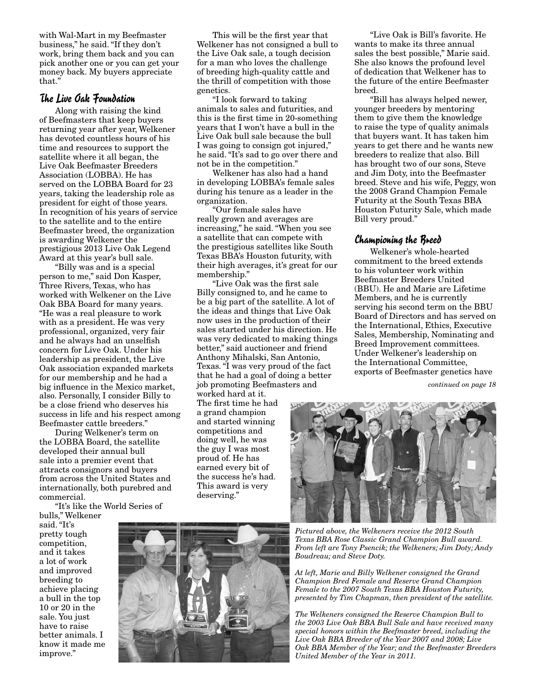with Wal-Mart in my Beefmaster business," he said. "If they don't work, bring them back and you can pick another one or you can get your money back. My buyers appreciate that."

## The Live Oak Foundation

Along with raising the kind of Beefmasters that keep buyers returning year after year, Welkener has devoted countless hours of his time and resources to support the satellite where it all began, the Live Oak Beefmaster Breeders Association (LOBBA). He has served on the LOBBA Board for 23 years, taking the leadership role as president for eight of those years. In recognition of his years of service to the satellite and to the entire Beefmaster breed, the organization is awarding Welkener the prestigious 2013 Live Oak Legend Award at this year's bull sale.

"Billy was and is a special person to me," said Don Kasper, Three Rivers, Texas, who has worked with Welkener on the Live Oak BBA Board for many years. "He was a real pleasure to work with as a president. He was very professional, organized, very fair and he always had an unselfish concern for Live Oak. Under his leadership as president, the Live Oak association expanded markets for our membership and he had a big influence in the Mexico market, also. Personally, I consider Billy to be a close friend who deserves his success in life and his respect among Beefmaster cattle breeders."

During Welkener's term on the LOBBA Board, the satellite developed their annual bull sale into a premier event that attracts consignors and buyers from across the United States and internationally, both purebred and commercial.

"It's like the World Series of

bulls," Welkener said. "It's pretty tough competition, and it takes a lot of work and improved breeding to achieve placing a bull in the top 10 or 20 in the sale. You just have to raise better animals. I know it made me improve."

This will be the first year that Welkener has not consigned a bull to the Live Oak sale, a tough decision for a man who loves the challenge of breeding high-quality cattle and the thrill of competition with those genetics.

"I look forward to taking animals to sales and futurities, and this is the first time in 20-something years that I won't have a bull in the Live Oak bull sale because the bull I was going to consign got injured," he said. "It's sad to go over there and not be in the competition."

Welkener has also had a hand in developing LOBBA's female sales during his tenure as a leader in the organization.

"Our female sales have really grown and averages are increasing," he said. "When you see a satellite that can compete with the prestigious satellites like South Texas BBA's Houston futurity, with their high averages, it's great for our membership."

"Live Oak was the first sale Billy consigned to, and he came to be a big part of the satellite. A lot of the ideas and things that Live Oak now uses in the production of their sales started under his direction. He was very dedicated to making things better," said auctioneer and friend Anthony Mihalski, San Antonio, Texas. "I was very proud of the fact that he had a goal of doing a better job promoting Beefmasters and

worked hard at it. The first time he had a grand champion and started winning competitions and doing well, he was the guy I was most proud of. He has earned every bit of the success he's had. This award is very deserving."



"Bill has always helped newer, younger breeders by mentoring them to give them the knowledge to raise the type of quality animals that buyers want. It has taken him years to get there and he wants new breeders to realize that also. Bill has brought two of our sons, Steve and Jim Doty, into the Beefmaster breed. Steve and his wife, Peggy, won the 2008 Grand Champion Female Futurity at the South Texas BBA Houston Futurity Sale, which made Bill very proud."

## Championing the Breed

Welkener's whole-hearted commitment to the breed extends to his volunteer work within Beefmaster Breeders United (BBU). He and Marie are Lifetime Members, and he is currently serving his second term on the BBU Board of Directors and has served on the International, Ethics, Executive Sales, Membership, Nominating and Breed Improvement committees. Under Welkener's leadership on the International Committee, exports of Beefmaster genetics have

*continued on page 18*





*Pictured above, the Welkeners receive the 2012 South Texas BBA Rose Classic Grand Champion Bull award. From left are Tony Psencik; the Welkeners; Jim Doty; Andy Boudreau; and Steve Doty.*

*At left, Marie and Billy Welkener consigned the Grand Champion Bred Female and Reserve Grand Champion Female to the 2007 South Texas BBA Houston Futurity, presented by Tim Chapman, then president of the satellite.* 

*The Welkeners consigned the Reserve Champion Bull to the 2003 Live Oak BBA Bull Sale and have received many special honors within the Beefmaster breed, including the Live Oak BBA Breeder of the Year 2007 and 2008; Live Oak BBA Member of the Year; and the Beefmaster Breeders United Member of the Year in 2011.*